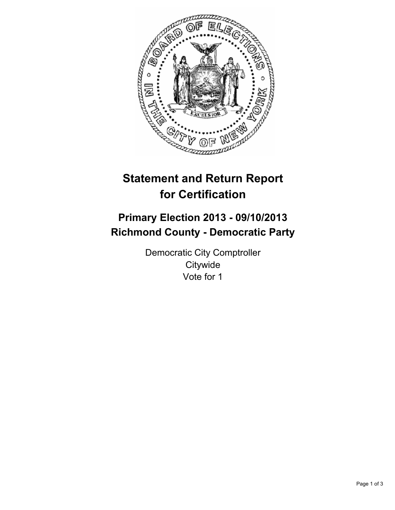

# **Statement and Return Report for Certification**

## **Primary Election 2013 - 09/10/2013 Richmond County - Democratic Party**

Democratic City Comptroller **Citywide** Vote for 1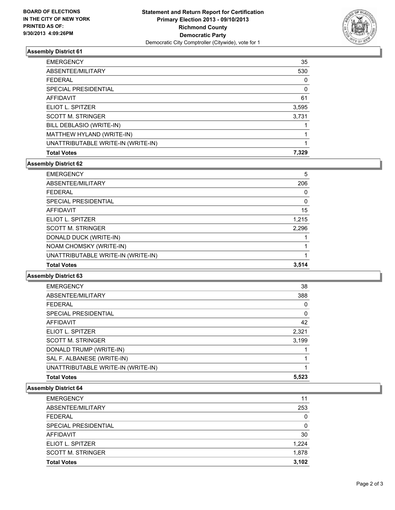

### **Assembly District 61**

| <b>EMERGENCY</b>                   | 35    |
|------------------------------------|-------|
| ABSENTEE/MILITARY                  | 530   |
| <b>FEDERAL</b>                     | 0     |
| SPECIAL PRESIDENTIAL               | 0     |
| <b>AFFIDAVIT</b>                   | 61    |
| ELIOT L. SPITZER                   | 3,595 |
| <b>SCOTT M. STRINGER</b>           | 3,731 |
| BILL DEBLASIO (WRITE-IN)           |       |
| MATTHEW HYLAND (WRITE-IN)          |       |
| UNATTRIBUTABLE WRITE-IN (WRITE-IN) |       |
| <b>Total Votes</b>                 | 7.329 |

### **Assembly District 62**

| <b>Total Votes</b>                 | 3,514    |
|------------------------------------|----------|
| UNATTRIBUTABLE WRITE-IN (WRITE-IN) |          |
| NOAM CHOMSKY (WRITE-IN)            |          |
| DONALD DUCK (WRITE-IN)             |          |
| <b>SCOTT M. STRINGER</b>           | 2,296    |
| ELIOT L. SPITZER                   | 1,215    |
| <b>AFFIDAVIT</b>                   | 15       |
| SPECIAL PRESIDENTIAL               | $\Omega$ |
| <b>FEDERAL</b>                     | 0        |
| ABSENTEE/MILITARY                  | 206      |
| <b>EMERGENCY</b>                   | 5        |

#### **Assembly District 63**

| <b>Total Votes</b>                 | 5,523    |
|------------------------------------|----------|
| UNATTRIBUTABLE WRITE-IN (WRITE-IN) |          |
| SAL F. ALBANESE (WRITE-IN)         |          |
| DONALD TRUMP (WRITE-IN)            |          |
| <b>SCOTT M. STRINGER</b>           | 3,199    |
| ELIOT L. SPITZER                   | 2,321    |
| AFFIDAVIT                          | 42       |
| SPECIAL PRESIDENTIAL               | $\Omega$ |
| <b>FEDERAL</b>                     | 0        |
| ABSENTEE/MILITARY                  | 388      |
| <b>EMERGENCY</b>                   | 38       |

#### **Assembly District 64**

| <b>EMERGENCY</b>         | 11    |
|--------------------------|-------|
| ABSENTEE/MILITARY        | 253   |
| <b>FEDERAL</b>           | 0     |
| SPECIAL PRESIDENTIAL     | 0     |
| <b>AFFIDAVIT</b>         | 30    |
| ELIOT L. SPITZER         | 1,224 |
| <b>SCOTT M. STRINGER</b> | 1,878 |
| <b>Total Votes</b>       | 3.102 |